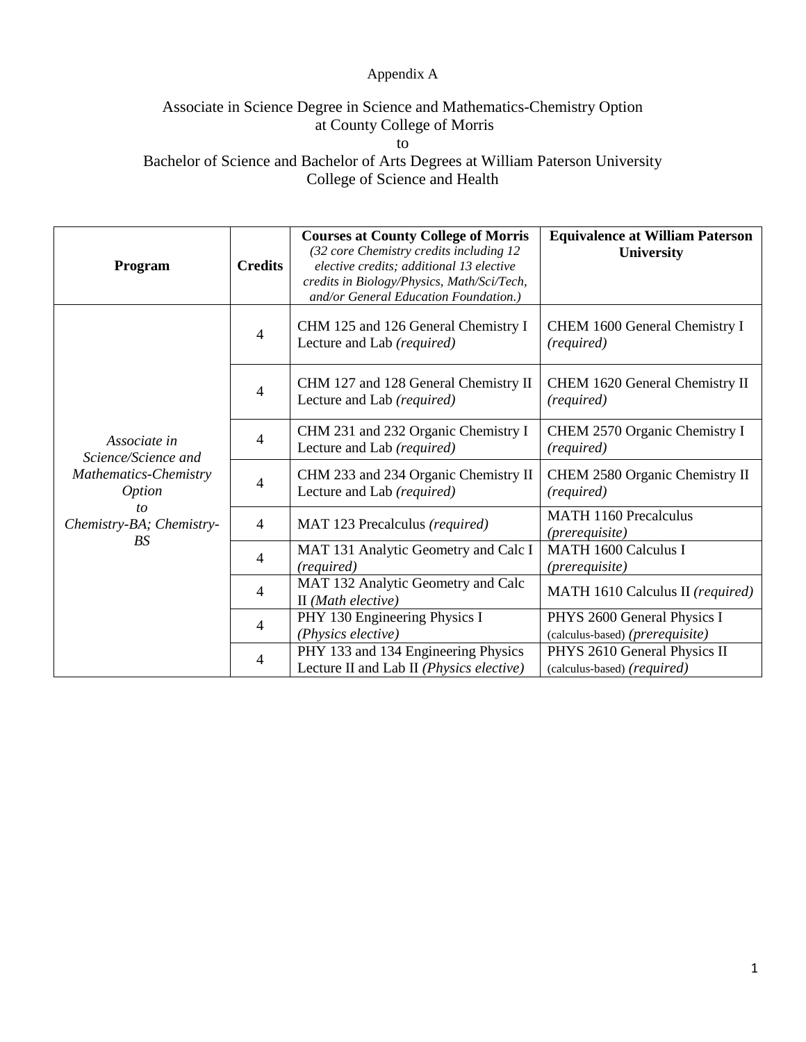## Appendix A

## Associate in Science Degree in Science and Mathematics-Chemistry Option at County College of Morris

to

Bachelor of Science and Bachelor of Arts Degrees at William Paterson University College of Science and Health

| Program                                                                                                                             | <b>Credits</b>           | <b>Courses at County College of Morris</b><br>(32 core Chemistry credits including 12<br>elective credits; additional 13 elective<br>credits in Biology/Physics, Math/Sci/Tech,<br>and/or General Education Foundation.) | <b>Equivalence at William Paterson</b><br>University           |
|-------------------------------------------------------------------------------------------------------------------------------------|--------------------------|--------------------------------------------------------------------------------------------------------------------------------------------------------------------------------------------------------------------------|----------------------------------------------------------------|
| Associate in<br>Science/Science and<br><b>Mathematics-Chemistry</b><br><i>Option</i><br>tο<br>Chemistry-BA; Chemistry-<br><b>BS</b> | 4                        | CHM 125 and 126 General Chemistry I<br>Lecture and Lab (required)                                                                                                                                                        | CHEM 1600 General Chemistry I<br>(required)                    |
|                                                                                                                                     | 4                        | CHM 127 and 128 General Chemistry II<br>Lecture and Lab (required)                                                                                                                                                       | CHEM 1620 General Chemistry II<br>(required)                   |
|                                                                                                                                     | $\overline{\mathcal{A}}$ | CHM 231 and 232 Organic Chemistry I<br>Lecture and Lab (required)                                                                                                                                                        | CHEM 2570 Organic Chemistry I<br>(required)                    |
|                                                                                                                                     | 4                        | CHM 233 and 234 Organic Chemistry II<br>Lecture and Lab (required)                                                                                                                                                       | CHEM 2580 Organic Chemistry II<br>(required)                   |
|                                                                                                                                     | $\overline{4}$           | MAT 123 Precalculus (required)                                                                                                                                                                                           | <b>MATH 1160 Precalculus</b><br>( <i>prerequisite</i> )        |
|                                                                                                                                     | $\overline{\mathcal{A}}$ | MAT 131 Analytic Geometry and Calc I<br>(required)                                                                                                                                                                       | <b>MATH 1600 Calculus I</b><br>( <i>prerequisite</i> )         |
|                                                                                                                                     | 4                        | MAT 132 Analytic Geometry and Calc<br>II (Math elective)                                                                                                                                                                 | MATH 1610 Calculus II (required)                               |
|                                                                                                                                     | $\overline{4}$           | PHY 130 Engineering Physics I<br>(Physics elective)                                                                                                                                                                      | PHYS 2600 General Physics I<br>(calculus-based) (prerequisite) |
|                                                                                                                                     | $\overline{4}$           | PHY 133 and 134 Engineering Physics<br>Lecture II and Lab II (Physics elective)                                                                                                                                          | PHYS 2610 General Physics II<br>(calculus-based) (required)    |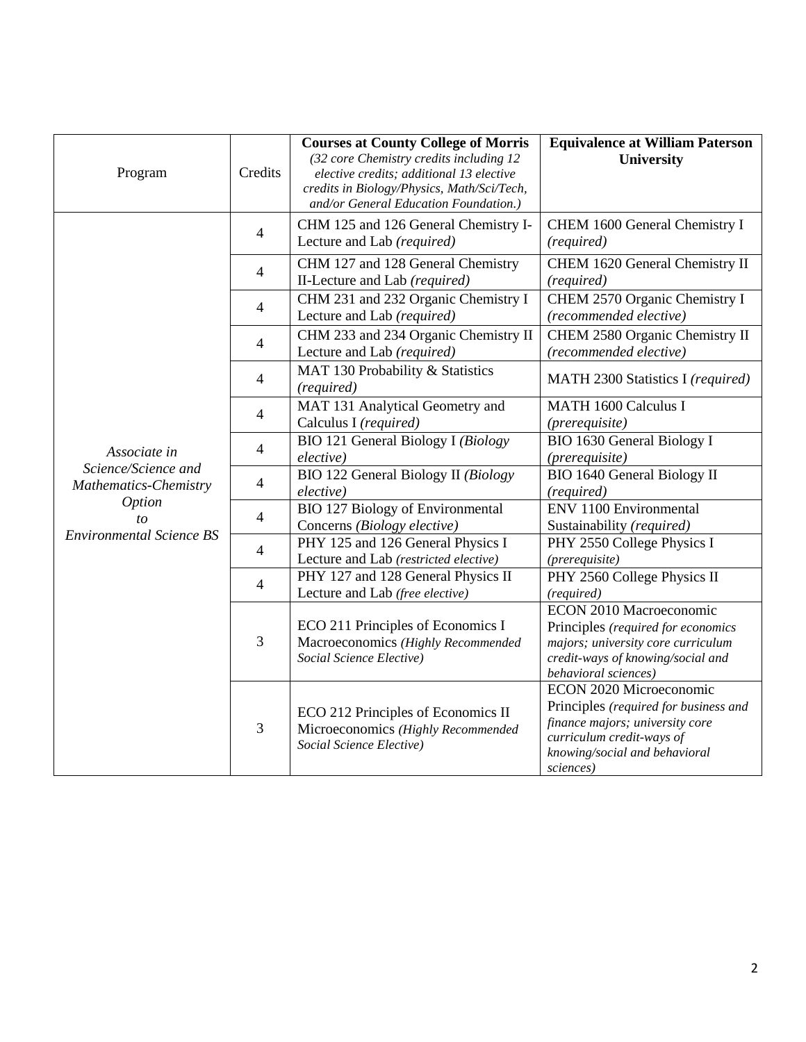| Program                                                                                                                | Credits        | <b>Courses at County College of Morris</b><br>(32 core Chemistry credits including 12<br>elective credits; additional 13 elective<br>credits in Biology/Physics, Math/Sci/Tech,<br>and/or General Education Foundation.) | <b>Equivalence at William Paterson</b><br>University                                                                                                                           |
|------------------------------------------------------------------------------------------------------------------------|----------------|--------------------------------------------------------------------------------------------------------------------------------------------------------------------------------------------------------------------------|--------------------------------------------------------------------------------------------------------------------------------------------------------------------------------|
| Associate in<br>Science/Science and<br>Mathematics-Chemistry<br><i>Option</i><br>to<br><b>Environmental Science BS</b> | $\overline{4}$ | CHM 125 and 126 General Chemistry I-<br>Lecture and Lab (required)                                                                                                                                                       | CHEM 1600 General Chemistry I<br>(required)                                                                                                                                    |
|                                                                                                                        | 4              | CHM 127 and 128 General Chemistry<br>II-Lecture and Lab (required)                                                                                                                                                       | CHEM 1620 General Chemistry II<br>(required)                                                                                                                                   |
|                                                                                                                        | $\overline{4}$ | CHM 231 and 232 Organic Chemistry I<br>Lecture and Lab (required)                                                                                                                                                        | CHEM 2570 Organic Chemistry I<br>(recommended elective)                                                                                                                        |
|                                                                                                                        | $\overline{4}$ | CHM 233 and 234 Organic Chemistry II<br>Lecture and Lab (required)                                                                                                                                                       | CHEM 2580 Organic Chemistry II<br>(recommended elective)                                                                                                                       |
|                                                                                                                        | $\overline{4}$ | MAT 130 Probability & Statistics<br>(required)                                                                                                                                                                           | MATH 2300 Statistics I (required)                                                                                                                                              |
|                                                                                                                        | $\overline{4}$ | MAT 131 Analytical Geometry and<br>Calculus I (required)                                                                                                                                                                 | <b>MATH 1600 Calculus I</b><br>(prerequisite)                                                                                                                                  |
|                                                                                                                        | $\overline{4}$ | <b>BIO 121 General Biology I (Biology</b><br>elective)                                                                                                                                                                   | <b>BIO 1630 General Biology I</b><br>(prerequisite)                                                                                                                            |
|                                                                                                                        | $\overline{4}$ | BIO 122 General Biology II (Biology<br>elective)                                                                                                                                                                         | <b>BIO 1640 General Biology II</b><br>(required)                                                                                                                               |
|                                                                                                                        | $\overline{4}$ | <b>BIO 127 Biology of Environmental</b><br>Concerns (Biology elective)                                                                                                                                                   | <b>ENV 1100 Environmental</b><br>Sustainability (required)                                                                                                                     |
|                                                                                                                        | $\overline{4}$ | PHY 125 and 126 General Physics I<br>Lecture and Lab (restricted elective)                                                                                                                                               | PHY 2550 College Physics I<br>(prerequisite)                                                                                                                                   |
|                                                                                                                        | $\overline{4}$ | PHY 127 and 128 General Physics II<br>Lecture and Lab (free elective)                                                                                                                                                    | PHY 2560 College Physics II<br>(required)                                                                                                                                      |
|                                                                                                                        | 3              | ECO 211 Principles of Economics I<br>Macroeconomics (Highly Recommended<br>Social Science Elective)                                                                                                                      | <b>ECON 2010 Macroeconomic</b><br>Principles (required for economics<br>majors; university core curriculum<br>credit-ways of knowing/social and<br>behavioral sciences)        |
|                                                                                                                        | 3              | ECO 212 Principles of Economics II<br>Microeconomics (Highly Recommended<br>Social Science Elective)                                                                                                                     | ECON 2020 Microeconomic<br>Principles (required for business and<br>finance majors; university core<br>curriculum credit-ways of<br>knowing/social and behavioral<br>sciences) |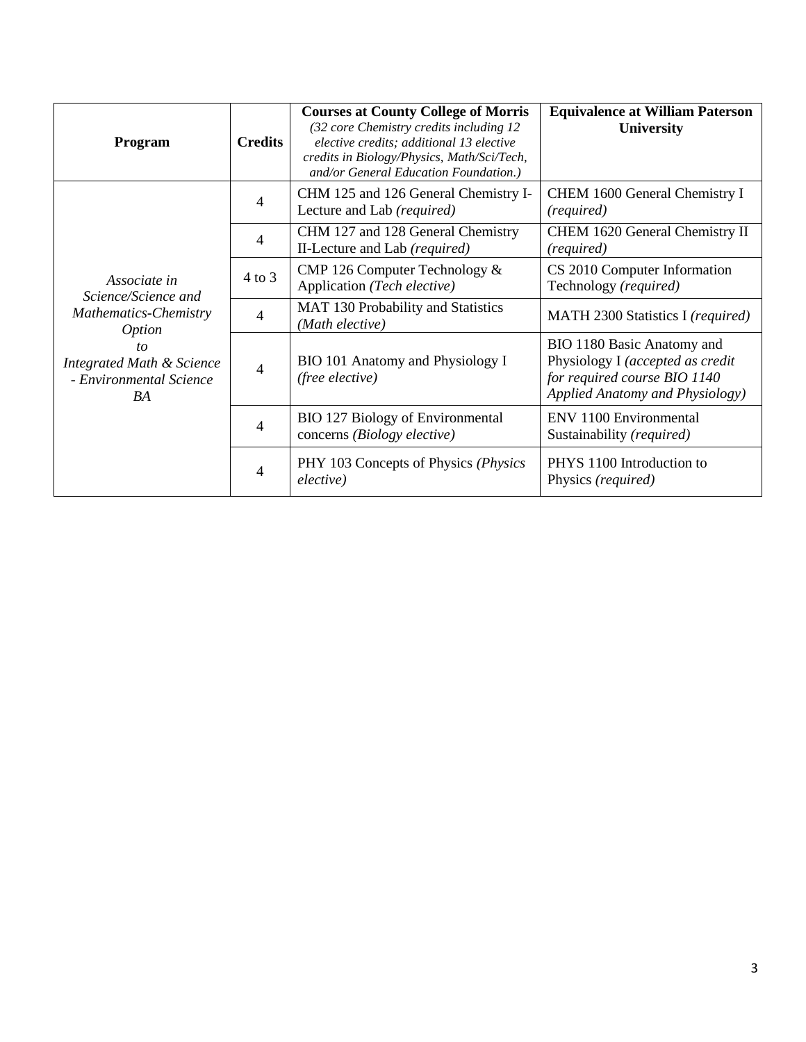| Program                                                                                                                                                      | <b>Credits</b> | <b>Courses at County College of Morris</b><br>(32 core Chemistry credits including 12<br>elective credits; additional 13 elective<br>credits in Biology/Physics, Math/Sci/Tech,<br>and/or General Education Foundation.) | <b>Equivalence at William Paterson</b><br><b>University</b>                                                                       |
|--------------------------------------------------------------------------------------------------------------------------------------------------------------|----------------|--------------------------------------------------------------------------------------------------------------------------------------------------------------------------------------------------------------------------|-----------------------------------------------------------------------------------------------------------------------------------|
| Associate in<br>Science/Science and<br>Mathematics-Chemistry<br><i>Option</i><br>to<br><b>Integrated Math &amp; Science</b><br>- Environmental Science<br>BA | $\overline{4}$ | CHM 125 and 126 General Chemistry I-<br>Lecture and Lab (required)                                                                                                                                                       | CHEM 1600 General Chemistry I<br>(required)                                                                                       |
|                                                                                                                                                              | $\overline{4}$ | CHM 127 and 128 General Chemistry<br>II-Lecture and Lab (required)                                                                                                                                                       | CHEM 1620 General Chemistry II<br>(required)                                                                                      |
|                                                                                                                                                              | $4$ to $3$     | CMP 126 Computer Technology &<br>Application (Tech elective)                                                                                                                                                             | CS 2010 Computer Information<br>Technology (required)                                                                             |
|                                                                                                                                                              | 4              | MAT 130 Probability and Statistics<br>(Math elective)                                                                                                                                                                    | MATH 2300 Statistics I (required)                                                                                                 |
|                                                                                                                                                              | $\overline{4}$ | BIO 101 Anatomy and Physiology I<br>(free elective)                                                                                                                                                                      | BIO 1180 Basic Anatomy and<br>Physiology I (accepted as credit<br>for required course BIO 1140<br>Applied Anatomy and Physiology) |
|                                                                                                                                                              | 4              | <b>BIO 127 Biology of Environmental</b><br>concerns (Biology elective)                                                                                                                                                   | ENV 1100 Environmental<br>Sustainability (required)                                                                               |
|                                                                                                                                                              | 4              | PHY 103 Concepts of Physics (Physics)<br>elective)                                                                                                                                                                       | PHYS 1100 Introduction to<br>Physics (required)                                                                                   |